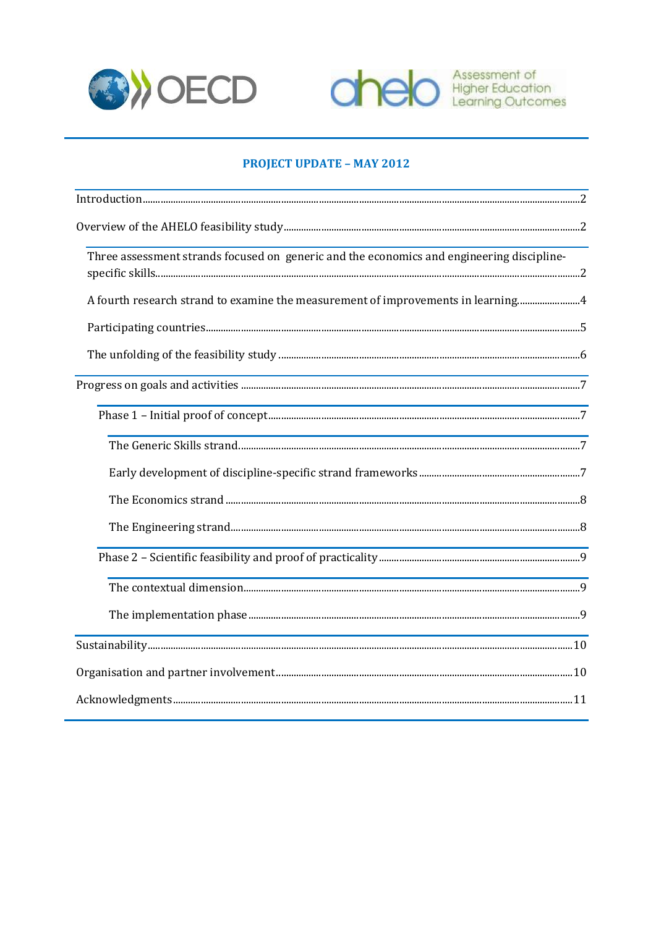



# **PROJECT UPDATE - MAY 2012**

| Three assessment strands focused on generic and the economics and engineering discipline-                        |  |
|------------------------------------------------------------------------------------------------------------------|--|
| A fourth research strand to examine the measurement of improvements in learning4                                 |  |
|                                                                                                                  |  |
|                                                                                                                  |  |
|                                                                                                                  |  |
|                                                                                                                  |  |
| and the control of the control of the control of the control of the control of the control of the control of the |  |
|                                                                                                                  |  |
|                                                                                                                  |  |
|                                                                                                                  |  |
|                                                                                                                  |  |
|                                                                                                                  |  |
|                                                                                                                  |  |
|                                                                                                                  |  |
|                                                                                                                  |  |
|                                                                                                                  |  |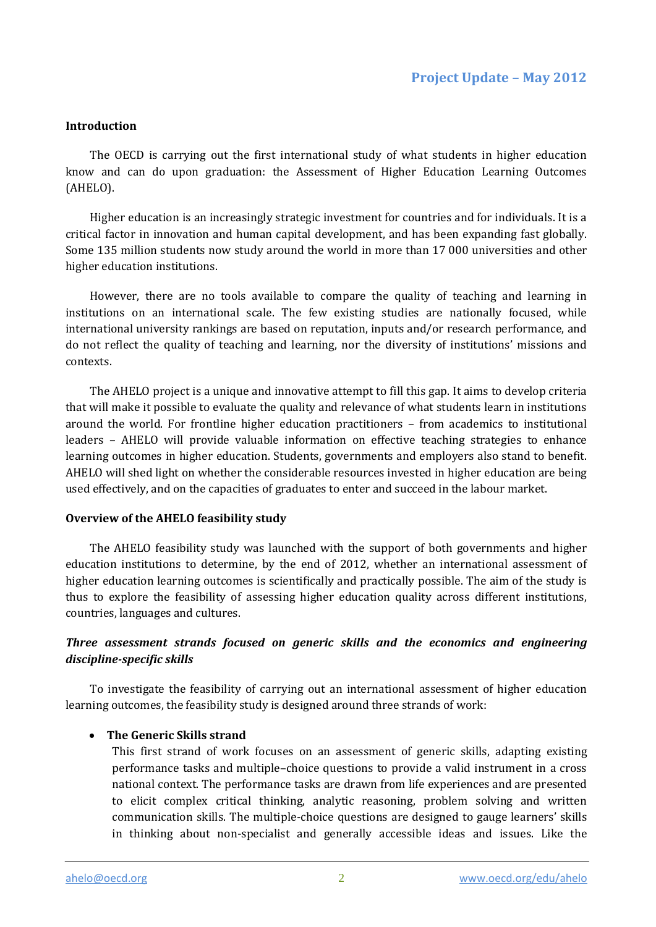#### **Introduction**

The OECD is carrying out the first international study of what students in higher education know and can do upon graduation: the Assessment of Higher Education Learning Outcomes (AHELO).

Higher education is an increasingly strategic investment for countries and for individuals. It is a critical factor in innovation and human capital development, and has been expanding fast globally. Some 135 million students now study around the world in more than 17 000 universities and other higher education institutions.

However, there are no tools available to compare the quality of teaching and learning in institutions on an international scale. The few existing studies are nationally focused, while international university rankings are based on reputation, inputs and/or research performance, and do not reflect the quality of teaching and learning, nor the diversity of institutions' missions and contexts.

The AHELO project is a unique and innovative attempt to fill this gap. It aims to develop criteria that will make it possible to evaluate the quality and relevance of what students learn in institutions around the world. For frontline higher education practitioners – from academics to institutional leaders – AHELO will provide valuable information on effective teaching strategies to enhance learning outcomes in higher education. Students, governments and employers also stand to benefit. AHELO will shed light on whether the considerable resources invested in higher education are being used effectively, and on the capacities of graduates to enter and succeed in the labour market.

#### **Overview of the AHELO feasibility study**

The AHELO feasibility study was launched with the support of both governments and higher education institutions to determine, by the end of 2012, whether an international assessment of higher education learning outcomes is scientifically and practically possible. The aim of the study is thus to explore the feasibility of assessing higher education quality across different institutions, countries, languages and cultures.

# *Three assessment strands focused on generic skills and the economics and engineering discipline-specific skills*

To investigate the feasibility of carrying out an international assessment of higher education learning outcomes, the feasibility study is designed around three strands of work:

#### **The Generic Skills strand**

This first strand of work focuses on an assessment of generic skills, adapting existing performance tasks and multiple–choice questions to provide a valid instrument in a cross national context. The performance tasks are drawn from life experiences and are presented to elicit complex critical thinking, analytic reasoning, problem solving and written communication skills. The multiple-choice questions are designed to gauge learners' skills in thinking about non-specialist and generally accessible ideas and issues. Like the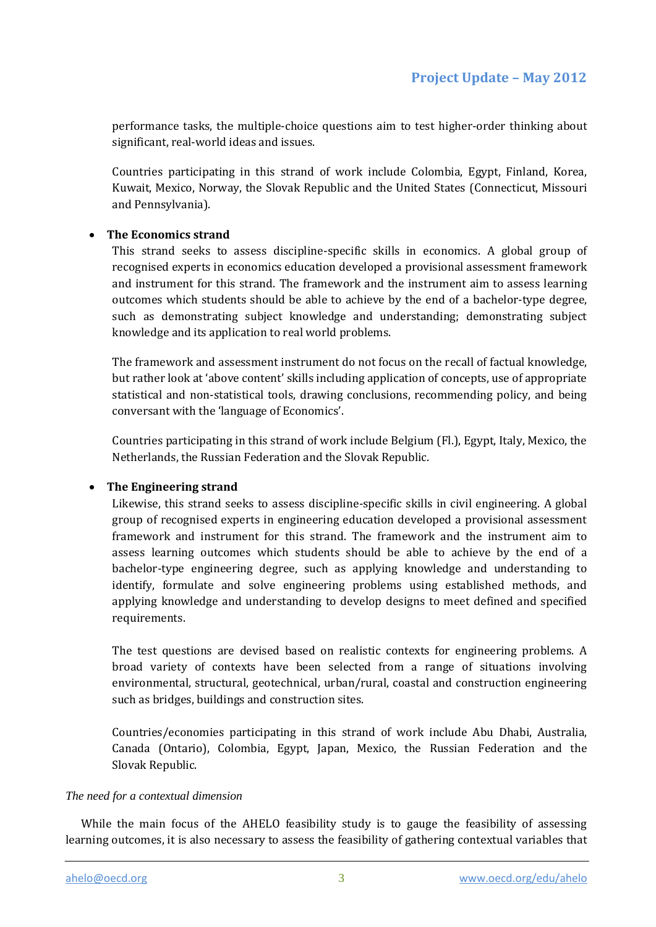performance tasks, the multiple-choice questions aim to test higher-order thinking about significant, real-world ideas and issues.

Countries participating in this strand of work include Colombia, Egypt, Finland, Korea, Kuwait, Mexico, Norway, the Slovak Republic and the United States (Connecticut, Missouri and Pennsylvania).

## **The Economics strand**

This strand seeks to assess discipline-specific skills in economics. A global group of recognised experts in economics education developed a provisional assessment framework and instrument for this strand. The framework and the instrument aim to assess learning outcomes which students should be able to achieve by the end of a bachelor-type degree, such as demonstrating subject knowledge and understanding; demonstrating subject knowledge and its application to real world problems.

The framework and assessment instrument do not focus on the recall of factual knowledge, but rather look at 'above content' skills including application of concepts, use of appropriate statistical and non-statistical tools, drawing conclusions, recommending policy, and being conversant with the 'language of Economics'.

Countries participating in this strand of work include Belgium (Fl.), Egypt, Italy, Mexico, the Netherlands, the Russian Federation and the Slovak Republic.

#### **The Engineering strand**

Likewise, this strand seeks to assess discipline-specific skills in civil engineering. A global group of recognised experts in engineering education developed a provisional assessment framework and instrument for this strand. The framework and the instrument aim to assess learning outcomes which students should be able to achieve by the end of a bachelor-type engineering degree, such as applying knowledge and understanding to identify, formulate and solve engineering problems using established methods, and applying knowledge and understanding to develop designs to meet defined and specified requirements.

The test questions are devised based on realistic contexts for engineering problems. A broad variety of contexts have been selected from a range of situations involving environmental, structural, geotechnical, urban/rural, coastal and construction engineering such as bridges, buildings and construction sites.

Countries/economies participating in this strand of work include Abu Dhabi, Australia, Canada (Ontario), Colombia, Egypt, Japan, Mexico, the Russian Federation and the Slovak Republic.

#### *The need for a contextual dimension*

While the main focus of the AHELO feasibility study is to gauge the feasibility of assessing learning outcomes, it is also necessary to assess the feasibility of gathering contextual variables that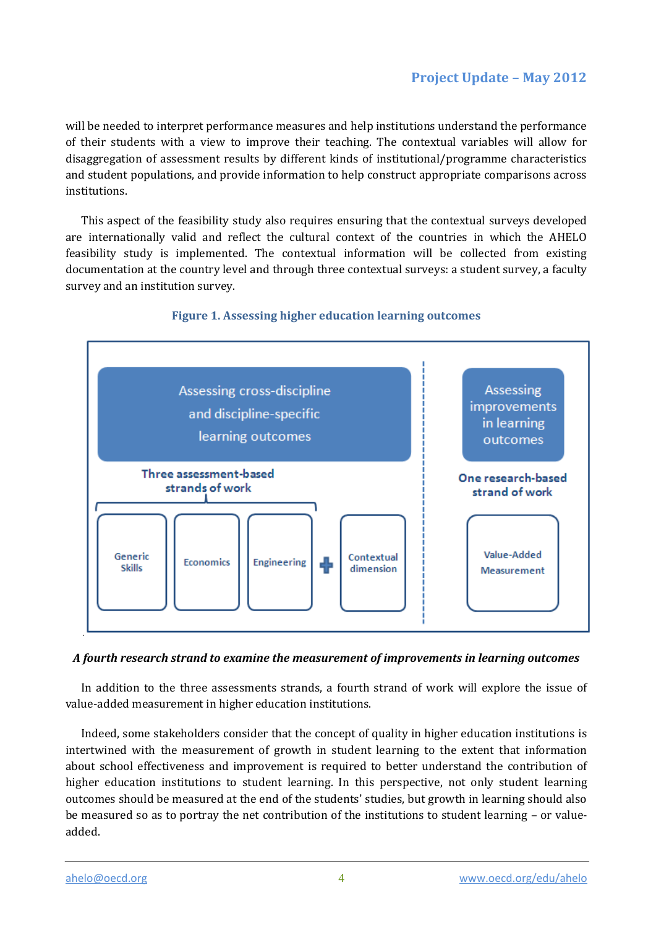# **Project Update – May 2012**

will be needed to interpret performance measures and help institutions understand the performance of their students with a view to improve their teaching. The contextual variables will allow for disaggregation of assessment results by different kinds of institutional/programme characteristics and student populations, and provide information to help construct appropriate comparisons across institutions.

This aspect of the feasibility study also requires ensuring that the contextual surveys developed are internationally valid and reflect the cultural context of the countries in which the AHELO feasibility study is implemented. The contextual information will be collected from existing documentation at the country level and through three contextual surveys: a student survey, a faculty survey and an institution survey.



## **Figure 1. Assessing higher education learning outcomes**

# *A fourth research strand to examine the measurement of improvements in learning outcomes*

In addition to the three assessments strands, a fourth strand of work will explore the issue of value-added measurement in higher education institutions.

Indeed, some stakeholders consider that the concept of quality in higher education institutions is intertwined with the measurement of growth in student learning to the extent that information about school effectiveness and improvement is required to better understand the contribution of higher education institutions to student learning. In this perspective, not only student learning outcomes should be measured at the end of the students' studies, but growth in learning should also be measured so as to portray the net contribution of the institutions to student learning – or valueadded.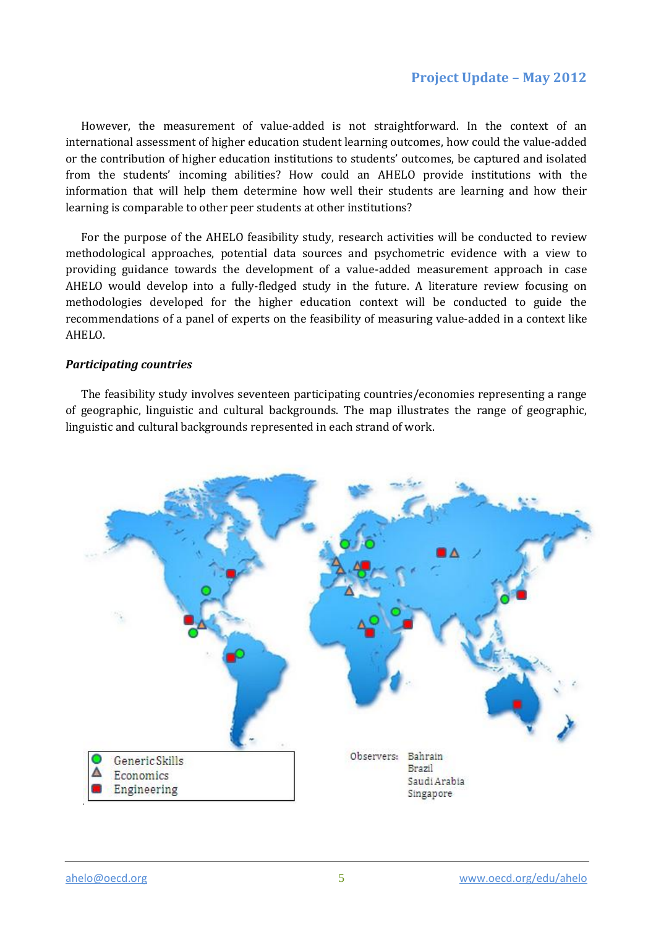# **Project Update – May 2012**

However, the measurement of value-added is not straightforward. In the context of an international assessment of higher education student learning outcomes, how could the value-added or the contribution of higher education institutions to students' outcomes, be captured and isolated from the students' incoming abilities? How could an AHELO provide institutions with the information that will help them determine how well their students are learning and how their learning is comparable to other peer students at other institutions?

For the purpose of the AHELO feasibility study, research activities will be conducted to review methodological approaches, potential data sources and psychometric evidence with a view to providing guidance towards the development of a value-added measurement approach in case AHELO would develop into a fully-fledged study in the future. A literature review focusing on methodologies developed for the higher education context will be conducted to guide the recommendations of a panel of experts on the feasibility of measuring value-added in a context like AHELO.

#### *Participating countries*

The feasibility study involves seventeen participating countries/economies representing a range of geographic, linguistic and cultural backgrounds. The map illustrates the range of geographic, linguistic and cultural backgrounds represented in each strand of work.

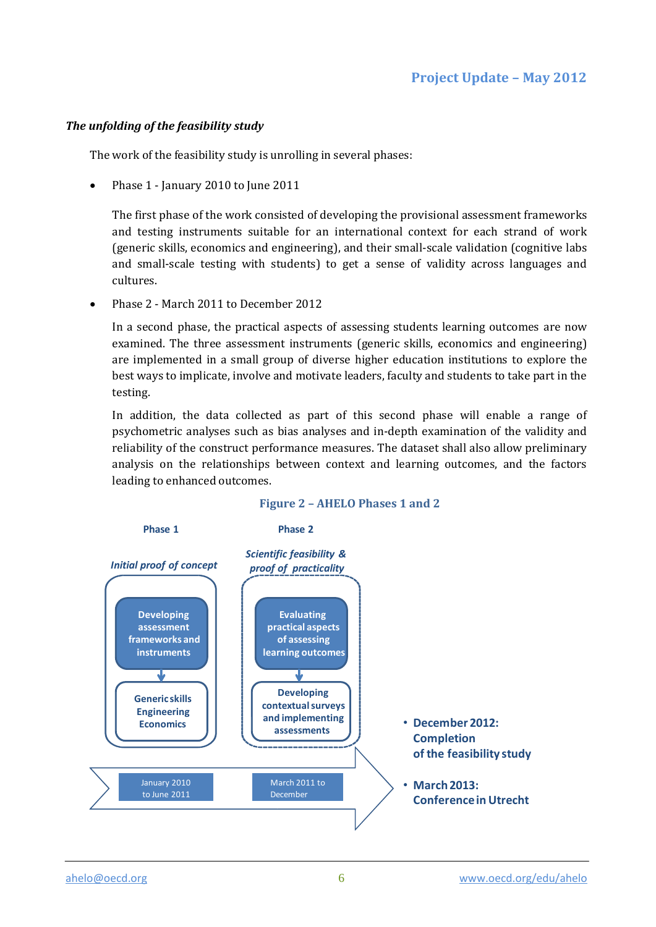# *The unfolding of the feasibility study*

The work of the feasibility study is unrolling in several phases:

• Phase 1 - January 2010 to June 2011

The first phase of the work consisted of developing the provisional assessment frameworks and testing instruments suitable for an international context for each strand of work (generic skills, economics and engineering), and their small-scale validation (cognitive labs and small-scale testing with students) to get a sense of validity across languages and cultures.

Phase 2 - March 2011 to December 2012

In a second phase, the practical aspects of assessing students learning outcomes are now examined. The three assessment instruments (generic skills, economics and engineering) are implemented in a small group of diverse higher education institutions to explore the best ways to implicate, involve and motivate leaders, faculty and students to take part in the testing.

In addition, the data collected as part of this second phase will enable a range of psychometric analyses such as bias analyses and in-depth examination of the validity and reliability of the construct performance measures. The dataset shall also allow preliminary analysis on the relationships between context and learning outcomes, and the factors leading to enhanced outcomes.



# **Figure 2 – AHELO Phases 1 and 2**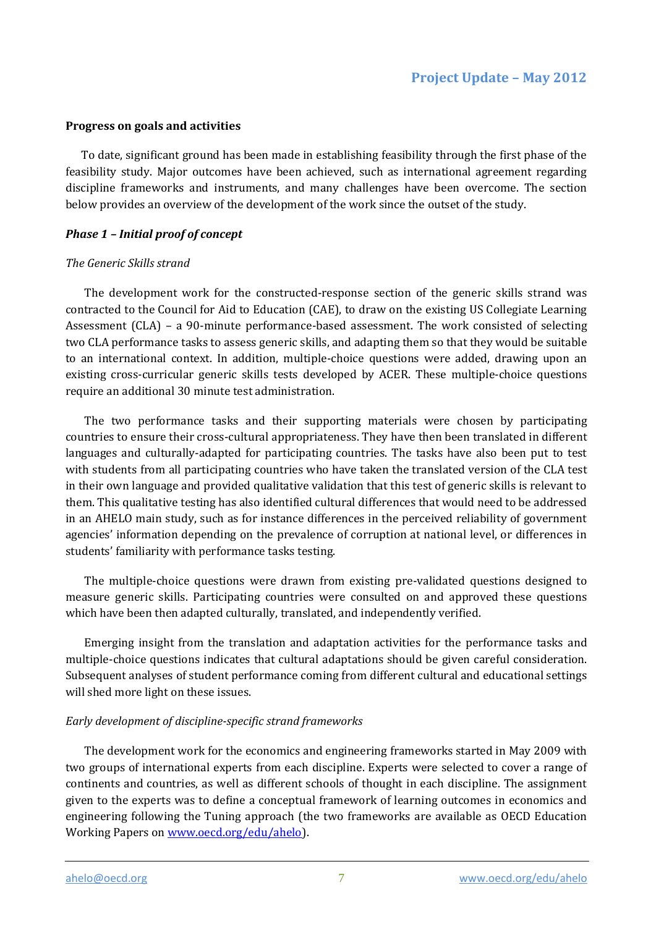#### **Progress on goals and activities**

To date, significant ground has been made in establishing feasibility through the first phase of the feasibility study. Major outcomes have been achieved, such as international agreement regarding discipline frameworks and instruments, and many challenges have been overcome. The section below provides an overview of the development of the work since the outset of the study.

### *Phase 1 – Initial proof of concept*

#### *The Generic Skills strand*

The development work for the constructed-response section of the generic skills strand was contracted to the Council for Aid to Education (CAE), to draw on the existing US Collegiate Learning Assessment (CLA) – a 90-minute performance-based assessment. The work consisted of selecting two CLA performance tasks to assess generic skills, and adapting them so that they would be suitable to an international context. In addition, multiple-choice questions were added, drawing upon an existing cross-curricular generic skills tests developed by ACER. These multiple-choice questions require an additional 30 minute test administration.

The two performance tasks and their supporting materials were chosen by participating countries to ensure their cross-cultural appropriateness. They have then been translated in different languages and culturally-adapted for participating countries. The tasks have also been put to test with students from all participating countries who have taken the translated version of the CLA test in their own language and provided qualitative validation that this test of generic skills is relevant to them. This qualitative testing has also identified cultural differences that would need to be addressed in an AHELO main study, such as for instance differences in the perceived reliability of government agencies' information depending on the prevalence of corruption at national level, or differences in students' familiarity with performance tasks testing.

The multiple-choice questions were drawn from existing pre-validated questions designed to measure generic skills. Participating countries were consulted on and approved these questions which have been then adapted culturally, translated, and independently verified.

Emerging insight from the translation and adaptation activities for the performance tasks and multiple-choice questions indicates that cultural adaptations should be given careful consideration. Subsequent analyses of student performance coming from different cultural and educational settings will shed more light on these issues.

#### *Early development of discipline-specific strand frameworks*

The development work for the economics and engineering frameworks started in May 2009 with two groups of international experts from each discipline. Experts were selected to cover a range of continents and countries, as well as different schools of thought in each discipline. The assignment given to the experts was to define a conceptual framework of learning outcomes in economics and engineering following the Tuning approach (the two frameworks are available as OECD Education Working Papers on [www.oecd.org/edu/ahelo\)](http://www.oecd.org/edu/ahelo).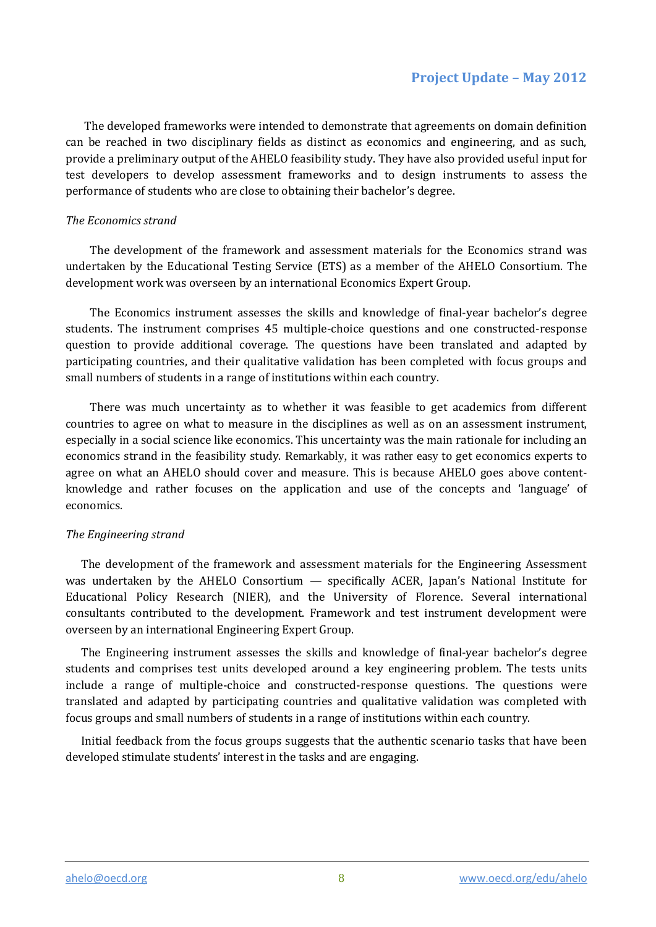The developed frameworks were intended to demonstrate that agreements on domain definition can be reached in two disciplinary fields as distinct as economics and engineering, and as such, provide a preliminary output of the AHELO feasibility study. They have also provided useful input for test developers to develop assessment frameworks and to design instruments to assess the performance of students who are close to obtaining their bachelor's degree.

## *The Economics strand*

The development of the framework and assessment materials for the Economics strand was undertaken by the Educational Testing Service (ETS) as a member of the AHELO Consortium. The development work was overseen by an international Economics Expert Group.

The Economics instrument assesses the skills and knowledge of final-year bachelor's degree students. The instrument comprises 45 multiple-choice questions and one constructed-response question to provide additional coverage. The questions have been translated and adapted by participating countries, and their qualitative validation has been completed with focus groups and small numbers of students in a range of institutions within each country.

There was much uncertainty as to whether it was feasible to get academics from different countries to agree on what to measure in the disciplines as well as on an assessment instrument, especially in a social science like economics. This uncertainty was the main rationale for including an economics strand in the feasibility study. Remarkably, it was rather easy to get economics experts to agree on what an AHELO should cover and measure. This is because AHELO goes above contentknowledge and rather focuses on the application and use of the concepts and 'language' of economics.

# *The Engineering strand*

The development of the framework and assessment materials for the Engineering Assessment was undertaken by the AHELO Consortium — specifically ACER, Japan's National Institute for Educational Policy Research (NIER), and the University of Florence. Several international consultants contributed to the development. Framework and test instrument development were overseen by an international Engineering Expert Group.

The Engineering instrument assesses the skills and knowledge of final-year bachelor's degree students and comprises test units developed around a key engineering problem. The tests units include a range of multiple-choice and constructed-response questions. The questions were translated and adapted by participating countries and qualitative validation was completed with focus groups and small numbers of students in a range of institutions within each country.

Initial feedback from the focus groups suggests that the authentic scenario tasks that have been developed stimulate students' interest in the tasks and are engaging.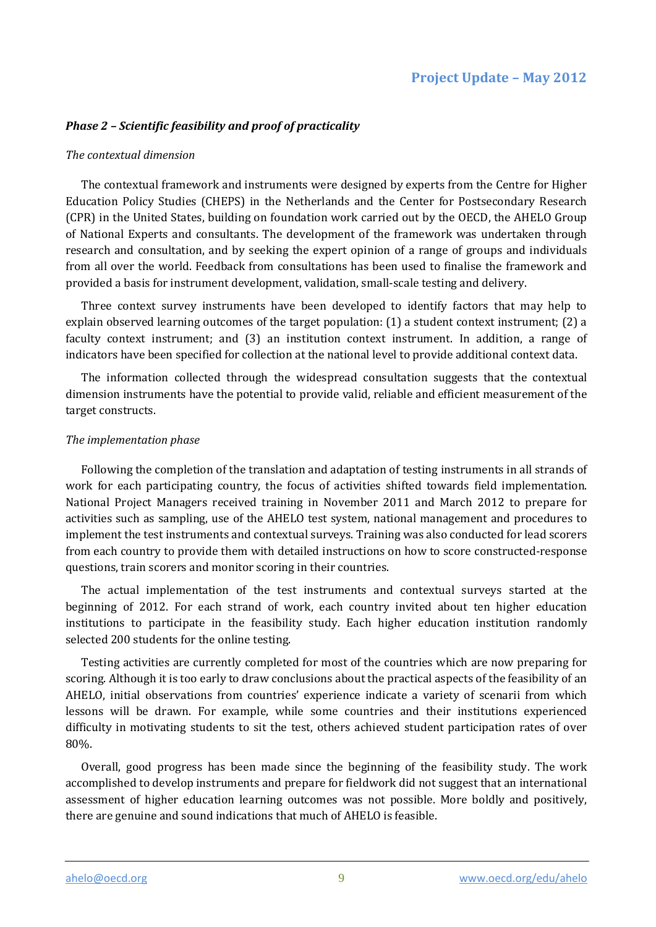# *Phase 2 – Scientific feasibility and proof of practicality*

#### *The contextual dimension*

The contextual framework and instruments were designed by experts from the Centre for Higher Education Policy Studies (CHEPS) in the Netherlands and the Center for Postsecondary Research (CPR) in the United States, building on foundation work carried out by the OECD, the AHELO Group of National Experts and consultants. The development of the framework was undertaken through research and consultation, and by seeking the expert opinion of a range of groups and individuals from all over the world. Feedback from consultations has been used to finalise the framework and provided a basis for instrument development, validation, small-scale testing and delivery.

Three context survey instruments have been developed to identify factors that may help to explain observed learning outcomes of the target population: (1) a student context instrument; (2) a faculty context instrument; and (3) an institution context instrument. In addition, a range of indicators have been specified for collection at the national level to provide additional context data.

The information collected through the widespread consultation suggests that the contextual dimension instruments have the potential to provide valid, reliable and efficient measurement of the target constructs.

#### *The implementation phase*

Following the completion of the translation and adaptation of testing instruments in all strands of work for each participating country, the focus of activities shifted towards field implementation. National Project Managers received training in November 2011 and March 2012 to prepare for activities such as sampling, use of the AHELO test system, national management and procedures to implement the test instruments and contextual surveys. Training was also conducted for lead scorers from each country to provide them with detailed instructions on how to score constructed-response questions, train scorers and monitor scoring in their countries.

The actual implementation of the test instruments and contextual surveys started at the beginning of 2012. For each strand of work, each country invited about ten higher education institutions to participate in the feasibility study. Each higher education institution randomly selected 200 students for the online testing.

Testing activities are currently completed for most of the countries which are now preparing for scoring. Although it is too early to draw conclusions about the practical aspects of the feasibility of an AHELO, initial observations from countries' experience indicate a variety of scenarii from which lessons will be drawn. For example, while some countries and their institutions experienced difficulty in motivating students to sit the test, others achieved student participation rates of over 80%.

Overall, good progress has been made since the beginning of the feasibility study. The work accomplished to develop instruments and prepare for fieldwork did not suggest that an international assessment of higher education learning outcomes was not possible. More boldly and positively, there are genuine and sound indications that much of AHELO is feasible.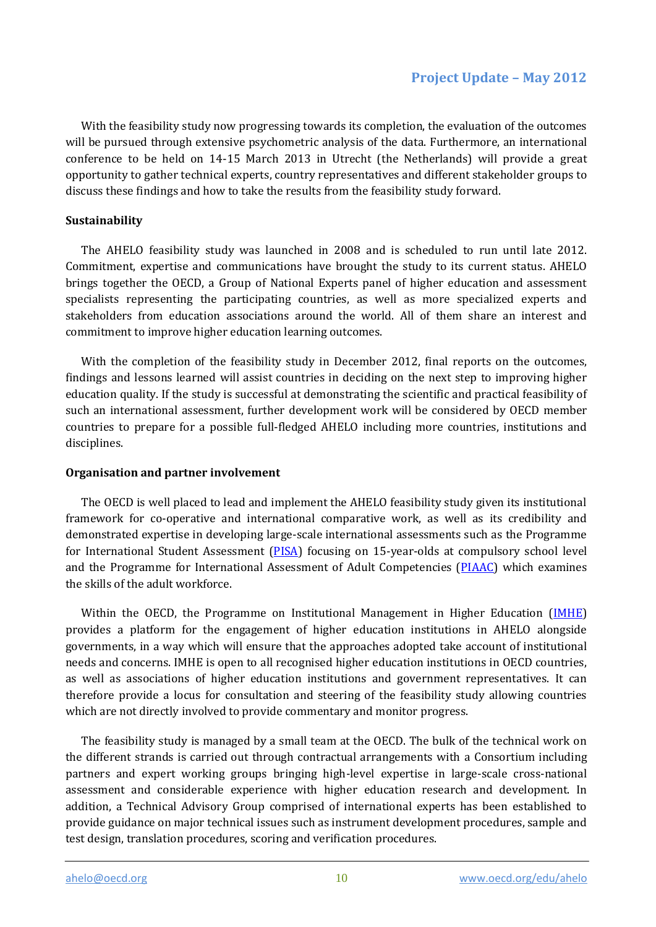With the feasibility study now progressing towards its completion, the evaluation of the outcomes will be pursued through extensive psychometric analysis of the data. Furthermore, an international conference to be held on 14-15 March 2013 in Utrecht (the Netherlands) will provide a great opportunity to gather technical experts, country representatives and different stakeholder groups to discuss these findings and how to take the results from the feasibility study forward.

## **Sustainability**

The AHELO feasibility study was launched in 2008 and is scheduled to run until late 2012. Commitment, expertise and communications have brought the study to its current status. AHELO brings together the OECD, a Group of National Experts panel of higher education and assessment specialists representing the participating countries, as well as more specialized experts and stakeholders from education associations around the world. All of them share an interest and commitment to improve higher education learning outcomes.

With the completion of the feasibility study in December 2012, final reports on the outcomes, findings and lessons learned will assist countries in deciding on the next step to improving higher education quality. If the study is successful at demonstrating the scientific and practical feasibility of such an international assessment, further development work will be considered by OECD member countries to prepare for a possible full-fledged AHELO including more countries, institutions and disciplines.

#### **Organisation and partner involvement**

The OECD is well placed to lead and implement the AHELO feasibility study given its institutional framework for co-operative and international comparative work, as well as its credibility and demonstrated expertise in developing large-scale international assessments such as the Programme for International Student Assessment [\(PISA\)](http://www.oecd.pisa.org/) focusing on 15-year-olds at compulsory school level and the Programme for International Assessment of Adult Competencies [\(PIAAC\)](http://www.oecd.org/edu/piaac) which examines the skills of the adult workforce.

Within the OECD, the Programme on Institutional Management in Higher Education [\(IMHE\)](http://www.oecd.org/edu/imhe) provides a platform for the engagement of higher education institutions in AHELO alongside governments, in a way which will ensure that the approaches adopted take account of institutional needs and concerns. IMHE is open to all recognised higher education institutions in OECD countries, as well as associations of higher education institutions and government representatives. It can therefore provide a locus for consultation and steering of the feasibility study allowing countries which are not directly involved to provide commentary and monitor progress.

The feasibility study is managed by a small team at the OECD. The bulk of the technical work on the different strands is carried out through contractual arrangements with a Consortium including partners and expert working groups bringing high-level expertise in large-scale cross-national assessment and considerable experience with higher education research and development. In addition, a Technical Advisory Group comprised of international experts has been established to provide guidance on major technical issues such as instrument development procedures, sample and test design, translation procedures, scoring and verification procedures.